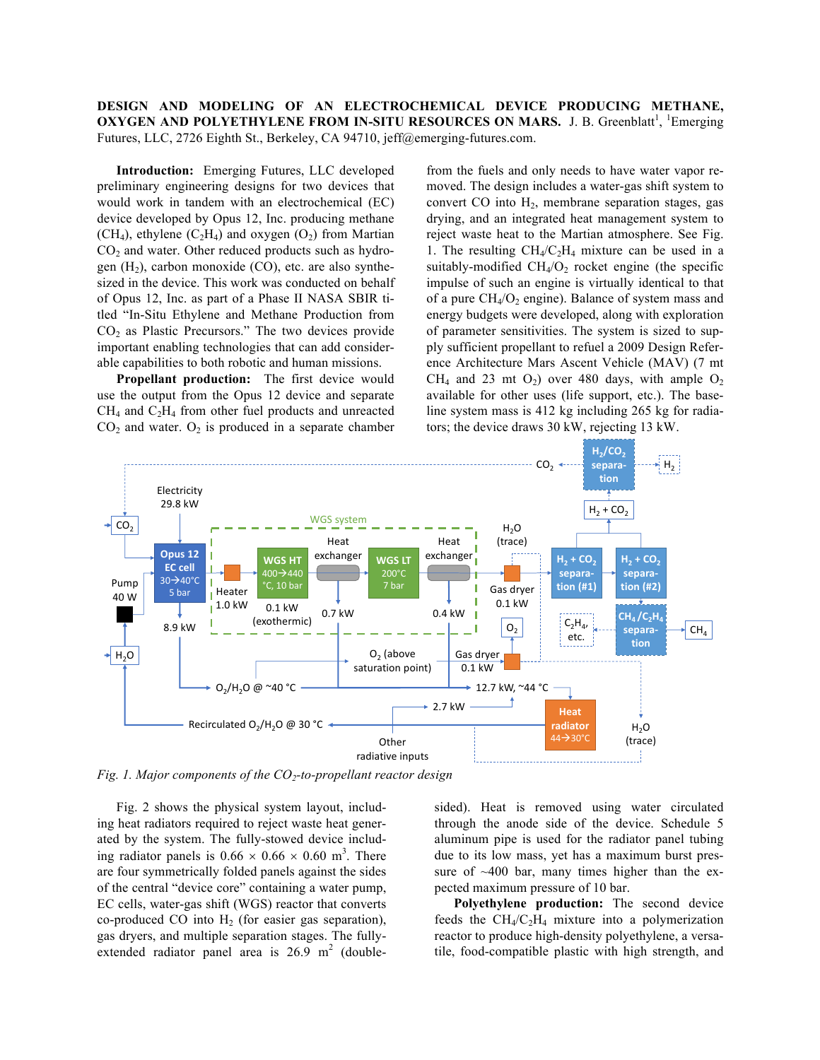**DESIGN AND MODELING OF AN ELECTROCHEMICAL DEVICE PRODUCING METHANE, OXYGEN AND POLYETHYLENE FROM IN-SITU RESOURCES ON MARS.** J. B. Greenblatt<sup>1</sup>, <sup>1</sup>Emerging Futures, LLC, 2726 Eighth St., Berkeley, CA 94710, jeff@emerging-futures.com.

**Introduction:** Emerging Futures, LLC developed preliminary engineering designs for two devices that would work in tandem with an electrochemical (EC) device developed by Opus 12, Inc. producing methane (CH<sub>4</sub>), ethylene (C<sub>2</sub>H<sub>4</sub>) and oxygen (O<sub>2</sub>) from Martian  $CO<sub>2</sub>$  and water. Other reduced products such as hydrogen  $(H<sub>2</sub>)$ , carbon monoxide  $(CO)$ , etc. are also synthesized in the device. This work was conducted on behalf of Opus 12, Inc. as part of a Phase II NASA SBIR titled "In-Situ Ethylene and Methane Production from CO2 as Plastic Precursors." The two devices provide important enabling technologies that can add considerable capabilities to both robotic and human missions.

**Propellant production:** The first device would use the output from the Opus 12 device and separate  $CH<sub>4</sub>$  and  $C<sub>2</sub>H<sub>4</sub>$  from other fuel products and unreacted  $CO<sub>2</sub>$  and water.  $O<sub>2</sub>$  is produced in a separate chamber from the fuels and only needs to have water vapor removed. The design includes a water-gas shift system to convert  $CO$  into  $H<sub>2</sub>$ , membrane separation stages, gas drying, and an integrated heat management system to reject waste heat to the Martian atmosphere. See Fig. 1. The resulting  $CH_4/C_2H_4$  mixture can be used in a suitably-modified  $CH_4/O_2$  rocket engine (the specific impulse of such an engine is virtually identical to that of a pure  $CH_4/O_2$  engine). Balance of system mass and energy budgets were developed, along with exploration of parameter sensitivities. The system is sized to supply sufficient propellant to refuel a 2009 Design Reference Architecture Mars Ascent Vehicle (MAV) (7 mt CH<sub>4</sub> and 23 mt  $O_2$ ) over 480 days, with ample  $O_2$ available for other uses (life support, etc.). The baseline system mass is 412 kg including 265 kg for radiators; the device draws 30 kW, rejecting 13 kW.



*Fig. 1. Major components of the CO<sub>2</sub>-to-propellant reactor design* 

Fig. 2 shows the physical system layout, including heat radiators required to reject waste heat generated by the system. The fully-stowed device including radiator panels is  $0.66 \times 0.66 \times 0.60 \text{ m}^3$ . There are four symmetrically folded panels against the sides of the central "device core" containing a water pump, EC cells, water-gas shift (WGS) reactor that converts co-produced CO into  $H_2$  (for easier gas separation), gas dryers, and multiple separation stages. The fullyextended radiator panel area is  $26.9 \text{ m}^2$  (doublesided). Heat is removed using water circulated through the anode side of the device. Schedule 5 aluminum pipe is used for the radiator panel tubing due to its low mass, yet has a maximum burst pressure of  $~400$  bar, many times higher than the expected maximum pressure of 10 bar.

**Polyethylene production:** The second device feeds the  $CH_4/C_2H_4$  mixture into a polymerization reactor to produce high-density polyethylene, a versatile, food-compatible plastic with high strength, and